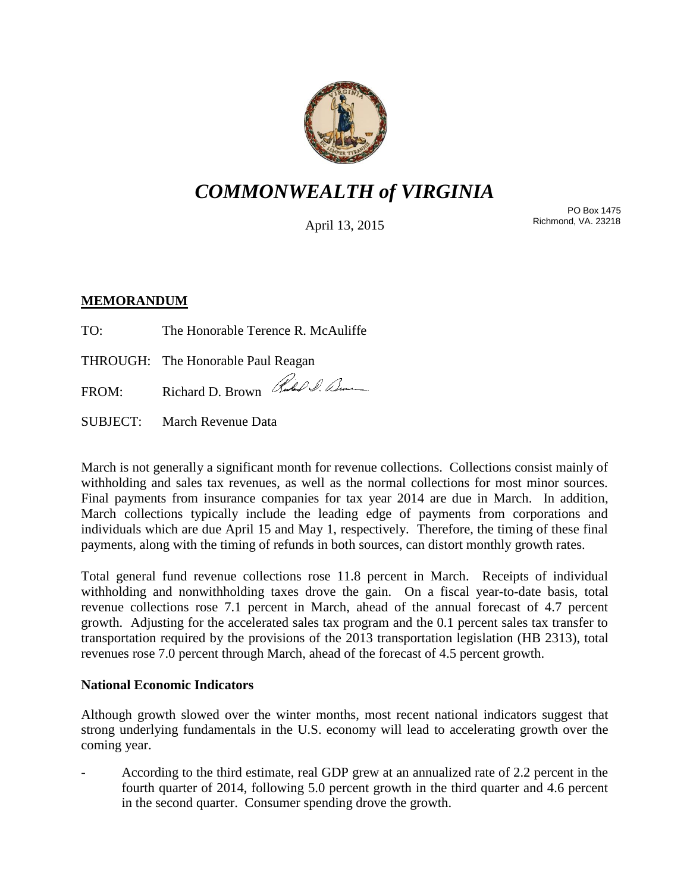

# *COMMONWEALTH of VIRGINIA*

April 13, 2015

PO Box 1475 Richmond, VA. 23218

# **MEMORANDUM**

| TO: | The Honorable Terence R. McAuliffe |  |
|-----|------------------------------------|--|
|     |                                    |  |

THROUGH: The Honorable Paul Reagan

FROM: Richard D. Brown Rubel D. Denne

SUBJECT: March Revenue Data

March is not generally a significant month for revenue collections. Collections consist mainly of withholding and sales tax revenues, as well as the normal collections for most minor sources. Final payments from insurance companies for tax year 2014 are due in March. In addition, March collections typically include the leading edge of payments from corporations and individuals which are due April 15 and May 1, respectively. Therefore, the timing of these final payments, along with the timing of refunds in both sources, can distort monthly growth rates.

Total general fund revenue collections rose 11.8 percent in March. Receipts of individual withholding and nonwithholding taxes drove the gain. On a fiscal year-to-date basis, total revenue collections rose 7.1 percent in March, ahead of the annual forecast of 4.7 percent growth. Adjusting for the accelerated sales tax program and the 0.1 percent sales tax transfer to transportation required by the provisions of the 2013 transportation legislation (HB 2313), total revenues rose 7.0 percent through March, ahead of the forecast of 4.5 percent growth.

## **National Economic Indicators**

Although growth slowed over the winter months, most recent national indicators suggest that strong underlying fundamentals in the U.S. economy will lead to accelerating growth over the coming year.

- According to the third estimate, real GDP grew at an annualized rate of 2.2 percent in the fourth quarter of 2014, following 5.0 percent growth in the third quarter and 4.6 percent in the second quarter. Consumer spending drove the growth.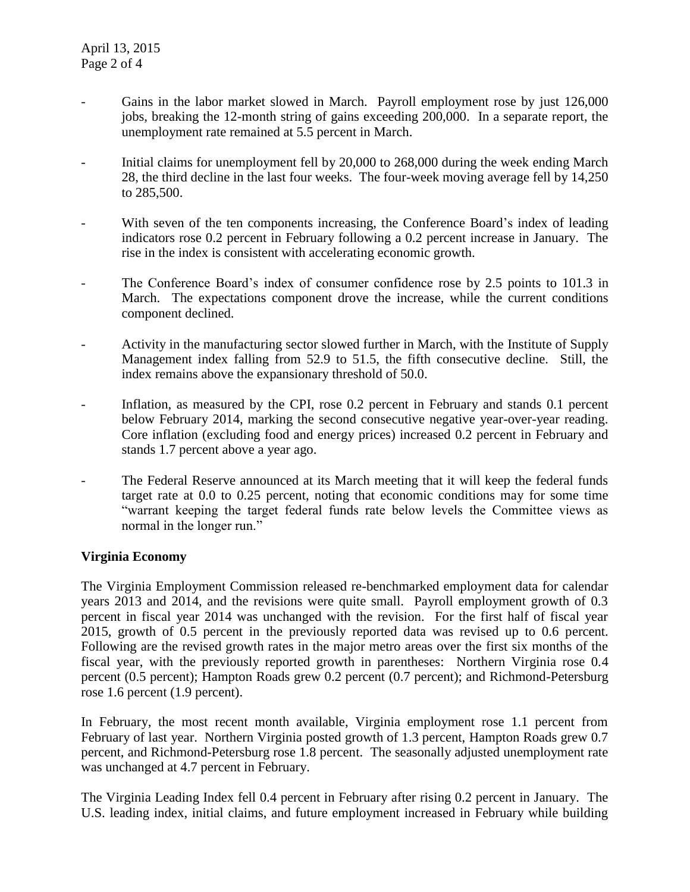- Gains in the labor market slowed in March. Payroll employment rose by just 126,000 jobs, breaking the 12-month string of gains exceeding 200,000. In a separate report, the unemployment rate remained at 5.5 percent in March.
- Initial claims for unemployment fell by 20,000 to 268,000 during the week ending March 28, the third decline in the last four weeks. The four-week moving average fell by 14,250 to 285,500.
- With seven of the ten components increasing, the Conference Board's index of leading indicators rose 0.2 percent in February following a 0.2 percent increase in January. The rise in the index is consistent with accelerating economic growth.
- The Conference Board's index of consumer confidence rose by 2.5 points to 101.3 in March. The expectations component drove the increase, while the current conditions component declined.
- Activity in the manufacturing sector slowed further in March, with the Institute of Supply Management index falling from 52.9 to 51.5, the fifth consecutive decline. Still, the index remains above the expansionary threshold of 50.0.
- Inflation, as measured by the CPI, rose 0.2 percent in February and stands 0.1 percent below February 2014, marking the second consecutive negative year-over-year reading. Core inflation (excluding food and energy prices) increased 0.2 percent in February and stands 1.7 percent above a year ago.
- The Federal Reserve announced at its March meeting that it will keep the federal funds target rate at 0.0 to 0.25 percent, noting that economic conditions may for some time "warrant keeping the target federal funds rate below levels the Committee views as normal in the longer run."

# **Virginia Economy**

The Virginia Employment Commission released re-benchmarked employment data for calendar years 2013 and 2014, and the revisions were quite small. Payroll employment growth of 0.3 percent in fiscal year 2014 was unchanged with the revision. For the first half of fiscal year 2015, growth of 0.5 percent in the previously reported data was revised up to 0.6 percent. Following are the revised growth rates in the major metro areas over the first six months of the fiscal year, with the previously reported growth in parentheses: Northern Virginia rose 0.4 percent (0.5 percent); Hampton Roads grew 0.2 percent (0.7 percent); and Richmond-Petersburg rose 1.6 percent (1.9 percent).

In February, the most recent month available, Virginia employment rose 1.1 percent from February of last year. Northern Virginia posted growth of 1.3 percent, Hampton Roads grew 0.7 percent, and Richmond-Petersburg rose 1.8 percent. The seasonally adjusted unemployment rate was unchanged at 4.7 percent in February.

The Virginia Leading Index fell 0.4 percent in February after rising 0.2 percent in January. The U.S. leading index, initial claims, and future employment increased in February while building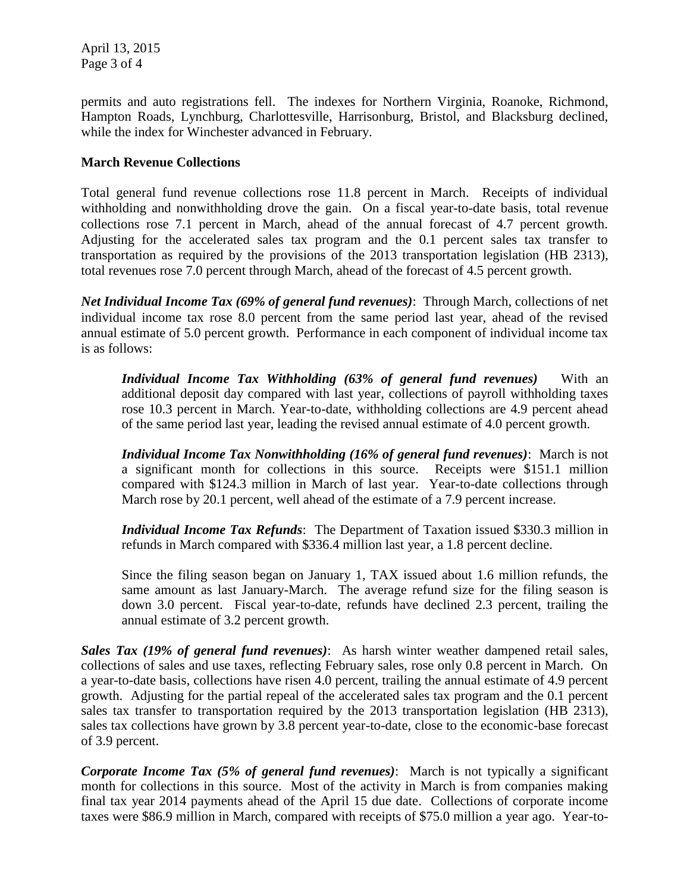April 13, 2015 Page 3 of 4

permits and auto registrations fell. The indexes for Northern Virginia, Roanoke, Richmond, Hampton Roads, Lynchburg, Charlottesville, Harrisonburg, Bristol, and Blacksburg declined, while the index for Winchester advanced in February.

## **March Revenue Collections**

Total general fund revenue collections rose 11.8 percent in March. Receipts of individual withholding and nonwithholding drove the gain. On a fiscal year-to-date basis, total revenue collections rose 7.1 percent in March, ahead of the annual forecast of 4.7 percent growth. Adjusting for the accelerated sales tax program and the 0.1 percent sales tax transfer to transportation as required by the provisions of the 2013 transportation legislation (HB 2313), total revenues rose 7.0 percent through March, ahead of the forecast of 4.5 percent growth.

*Net Individual Income Tax (69% of general fund revenues)*: Through March, collections of net individual income tax rose 8.0 percent from the same period last year, ahead of the revised annual estimate of 5.0 percent growth. Performance in each component of individual income tax is as follows:

*Individual Income Tax Withholding (63% of general fund revenues)* With an additional deposit day compared with last year, collections of payroll withholding taxes rose 10.3 percent in March. Year-to-date, withholding collections are 4.9 percent ahead of the same period last year, leading the revised annual estimate of 4.0 percent growth.

*Individual Income Tax Nonwithholding (16% of general fund revenues)*: March is not a significant month for collections in this source. Receipts were \$151.1 million compared with \$124.3 million in March of last year. Year-to-date collections through March rose by 20.1 percent, well ahead of the estimate of a 7.9 percent increase.

*Individual Income Tax Refunds*: The Department of Taxation issued \$330.3 million in refunds in March compared with \$336.4 million last year, a 1.8 percent decline.

Since the filing season began on January 1, TAX issued about 1.6 million refunds, the same amount as last January-March. The average refund size for the filing season is down 3.0 percent. Fiscal year-to-date, refunds have declined 2.3 percent, trailing the annual estimate of 3.2 percent growth.

*Sales Tax (19% of general fund revenues)*: As harsh winter weather dampened retail sales, collections of sales and use taxes, reflecting February sales, rose only 0.8 percent in March. On a year-to-date basis, collections have risen 4.0 percent, trailing the annual estimate of 4.9 percent growth. Adjusting for the partial repeal of the accelerated sales tax program and the 0.1 percent sales tax transfer to transportation required by the 2013 transportation legislation (HB 2313), sales tax collections have grown by 3.8 percent year-to-date, close to the economic-base forecast of 3.9 percent.

*Corporate Income Tax (5% of general fund revenues)*: March is not typically a significant month for collections in this source. Most of the activity in March is from companies making final tax year 2014 payments ahead of the April 15 due date. Collections of corporate income taxes were \$86.9 million in March, compared with receipts of \$75.0 million a year ago. Year-to